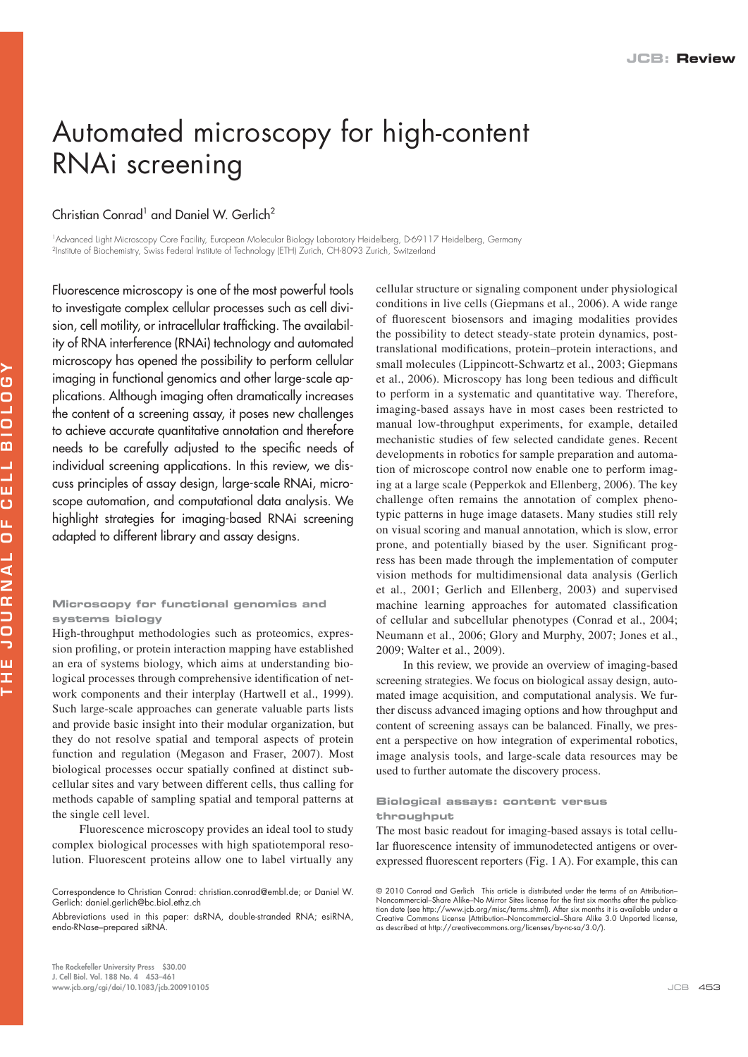# Automated microscopy for high-content RNAi screening

# Christian Conrad<sup>1</sup> and Daniel W. Gerlich<sup>2</sup>

<sup>1</sup>Advanced Light Microscopy Core Facility, European Molecular Biology Laboratory Heidelberg, D-69117 Heidelberg, Germany 2 Institute of Biochemistry, Swiss Federal Institute of Technology (ETH) Zurich, CH-8093 Zurich, Switzerland

Fluorescence microscopy is one of the most powerful tools to investigate complex cellular processes such as cell division, cell motility, or intracellular trafficking. The availability of RNA interference (RNAi) technology and automated microscopy has opened the possibility to perform cellular imaging in functional genomics and other large-scale applications. Although imaging often dramatically increases the content of a screening assay, it poses new challenges to achieve accurate quantitative annotation and therefore needs to be carefully adjusted to the specific needs of individual screening applications. In this review, we discuss principles of assay design, large-scale RNAi, microscope automation, and computational data analysis. We highlight strategies for imaging-based RNAi screening adapted to different library and assay designs.

### **Microscopy for functional genomics and systems biology**

High-throughput methodologies such as proteomics, expression profiling, or protein interaction mapping have established an era of systems biology, which aims at understanding biological processes through comprehensive identification of network components and their interplay (Hartwell et al., 1999). Such large-scale approaches can generate valuable parts lists and provide basic insight into their modular organization, but they do not resolve spatial and temporal aspects of protein function and regulation (Megason and Fraser, 2007). Most biological processes occur spatially confined at distinct subcellular sites and vary between different cells, thus calling for methods capable of sampling spatial and temporal patterns at the single cell level.

Fluorescence microscopy provides an ideal tool to study complex biological processes with high spatiotemporal resolution. Fluorescent proteins allow one to label virtually any cellular structure or signaling component under physiological conditions in live cells (Giepmans et al., 2006). A wide range of fluorescent biosensors and imaging modalities provides the possibility to detect steady-state protein dynamics, posttranslational modifications, protein–protein interactions, and small molecules (Lippincott-Schwartz et al., 2003; Giepmans et al., 2006). Microscopy has long been tedious and difficult to perform in a systematic and quantitative way. Therefore, imaging-based assays have in most cases been restricted to manual low-throughput experiments, for example, detailed mechanistic studies of few selected candidate genes. Recent developments in robotics for sample preparation and automation of microscope control now enable one to perform imaging at a large scale (Pepperkok and Ellenberg, 2006). The key challenge often remains the annotation of complex phenotypic patterns in huge image datasets. Many studies still rely on visual scoring and manual annotation, which is slow, error prone, and potentially biased by the user. Significant progress has been made through the implementation of computer vision methods for multidimensional data analysis (Gerlich et al., 2001; Gerlich and Ellenberg, 2003) and supervised machine learning approaches for automated classification of cellular and subcellular phenotypes (Conrad et al., 2004; Neumann et al., 2006; Glory and Murphy, 2007; Jones et al., 2009; Walter et al., 2009).

In this review, we provide an overview of imaging-based screening strategies. We focus on biological assay design, automated image acquisition, and computational analysis. We further discuss advanced imaging options and how throughput and content of screening assays can be balanced. Finally, we present a perspective on how integration of experimental robotics, image analysis tools, and large-scale data resources may be used to further automate the discovery process.

#### **Biological assays: content versus throughput**

The most basic readout for imaging-based assays is total cellular fluorescence intensity of immunodetected antigens or overexpressed fluorescent reporters (Fig. 1 A). For example, this can

Correspondence to Christian Conrad: christian.conrad@embl.de; or Daniel W. Gerlich: daniel.gerlich@bc.biol.ethz.ch

Abbreviations used in this paper: dsRNA, double-stranded RNA; esiRNA, endo-RNase–prepared siRNA.

<sup>© 2010</sup> Conrad and Gerlich This article is distributed under the terms of an Attribution– Noncommercial–Share Alike–No Mirror Sites license for the first six months after the publication date (see http://www.jcb.org/misc/terms.shtml). After six months it is available under a Creative Commons License (Attribution–Noncommercial–Share Alike 3.0 Unported license, as described at http://creativecommons.org/licenses/by-nc-sa/3.0/).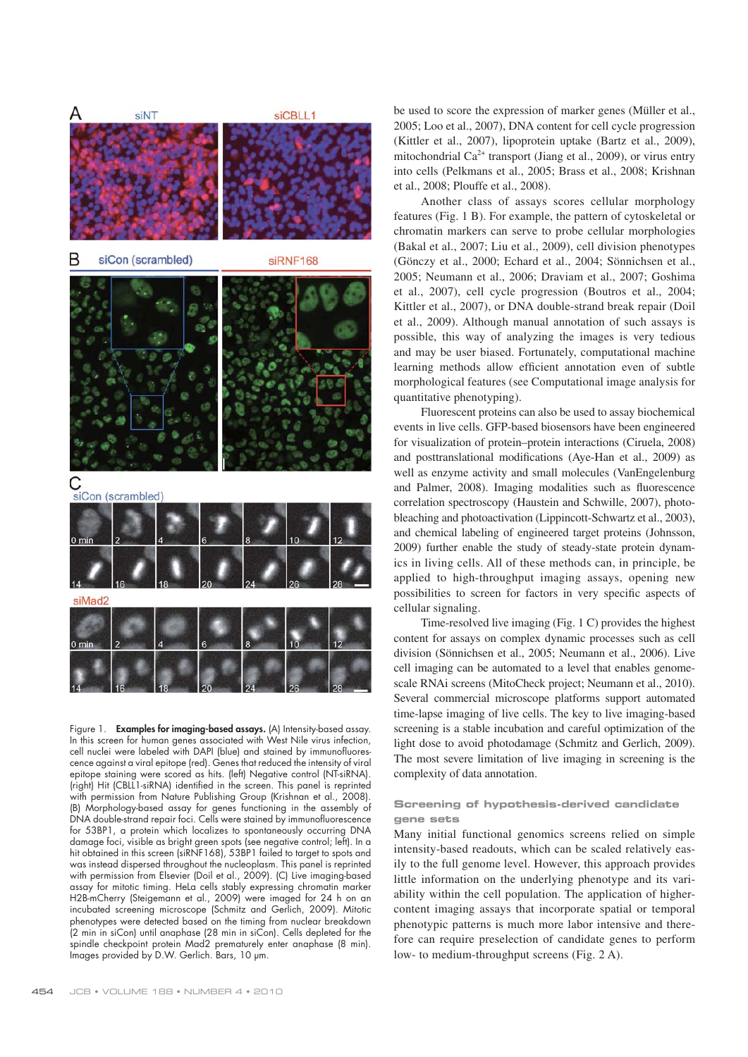

Figure 1. **Examples for imaging-based assays.** (A) Intensity-based assay. In this screen for human genes associated with West Nile virus infection, cell nuclei were labeled with DAPI (blue) and stained by immunofluorescence against a viral epitope (red). Genes that reduced the intensity of viral epitope staining were scored as hits. (left) Negative control (NT-siRNA). (right) Hit (CBLL1-siRNA) identified in the screen. This panel is reprinted with permission from Nature Publishing Group (Krishnan et al., 2008). (B) Morphology-based assay for genes functioning in the assembly of DNA double-strand repair foci. Cells were stained by immunofluorescence for 53BP1, a protein which localizes to spontaneously occurring DNA damage foci, visible as bright green spots (see negative control; left). In a hit obtained in this screen (siRNF168), 53BP1 failed to target to spots and was instead dispersed throughout the nucleoplasm. This panel is reprinted with permission from Elsevier (Doil et al., 2009). (C) Live imaging-based assay for mitotic timing. HeLa cells stably expressing chromatin marker H2B-mCherry (Steigemann et al., 2009) were imaged for 24 h on an incubated screening microscope (Schmitz and Gerlich, 2009). Mitotic phenotypes were detected based on the timing from nuclear breakdown (2 min in siCon) until anaphase (28 min in siCon). Cells depleted for the spindle checkpoint protein Mad2 prematurely enter anaphase (8 min). Images provided by D.W. Gerlich. Bars, 10 μm.

be used to score the expression of marker genes (Müller et al., 2005; Loo et al., 2007), DNA content for cell cycle progression (Kittler et al., 2007), lipoprotein uptake (Bartz et al., 2009), mitochondrial  $Ca^{2+}$  transport (Jiang et al., 2009), or virus entry into cells (Pelkmans et al., 2005; Brass et al., 2008; Krishnan et al., 2008; Plouffe et al., 2008).

Another class of assays scores cellular morphology features (Fig. 1 B). For example, the pattern of cytoskeletal or chromatin markers can serve to probe cellular morphologies (Bakal et al., 2007; Liu et al., 2009), cell division phenotypes (Gönczy et al., 2000; Echard et al., 2004; Sönnichsen et al., 2005; Neumann et al., 2006; Draviam et al., 2007; Goshima et al., 2007), cell cycle progression (Boutros et al., 2004; Kittler et al., 2007), or DNA double-strand break repair (Doil et al., 2009). Although manual annotation of such assays is possible, this way of analyzing the images is very tedious and may be user biased. Fortunately, computational machine learning methods allow efficient annotation even of subtle morphological features (see Computational image analysis for quantitative phenotyping).

Fluorescent proteins can also be used to assay biochemical events in live cells. GFP-based biosensors have been engineered for visualization of protein–protein interactions (Ciruela, 2008) and posttranslational modifications (Aye-Han et al., 2009) as well as enzyme activity and small molecules (VanEngelenburg and Palmer, 2008). Imaging modalities such as fluorescence correlation spectroscopy (Haustein and Schwille, 2007), photobleaching and photoactivation (Lippincott-Schwartz et al., 2003), and chemical labeling of engineered target proteins (Johnsson, 2009) further enable the study of steady-state protein dynamics in living cells. All of these methods can, in principle, be applied to high-throughput imaging assays, opening new possibilities to screen for factors in very specific aspects of cellular signaling.

Time-resolved live imaging (Fig. 1 C) provides the highest content for assays on complex dynamic processes such as cell division (Sönnichsen et al., 2005; Neumann et al., 2006). Live cell imaging can be automated to a level that enables genomescale RNAi screens (MitoCheck project; Neumann et al., 2010). Several commercial microscope platforms support automated time-lapse imaging of live cells. The key to live imaging-based screening is a stable incubation and careful optimization of the light dose to avoid photodamage (Schmitz and Gerlich, 2009). The most severe limitation of live imaging in screening is the complexity of data annotation.

## **Screening of hypothesis-derived candidate gene sets**

Many initial functional genomics screens relied on simple intensity-based readouts, which can be scaled relatively easily to the full genome level. However, this approach provides little information on the underlying phenotype and its variability within the cell population. The application of highercontent imaging assays that incorporate spatial or temporal phenotypic patterns is much more labor intensive and therefore can require preselection of candidate genes to perform low- to medium-throughput screens (Fig. 2 A).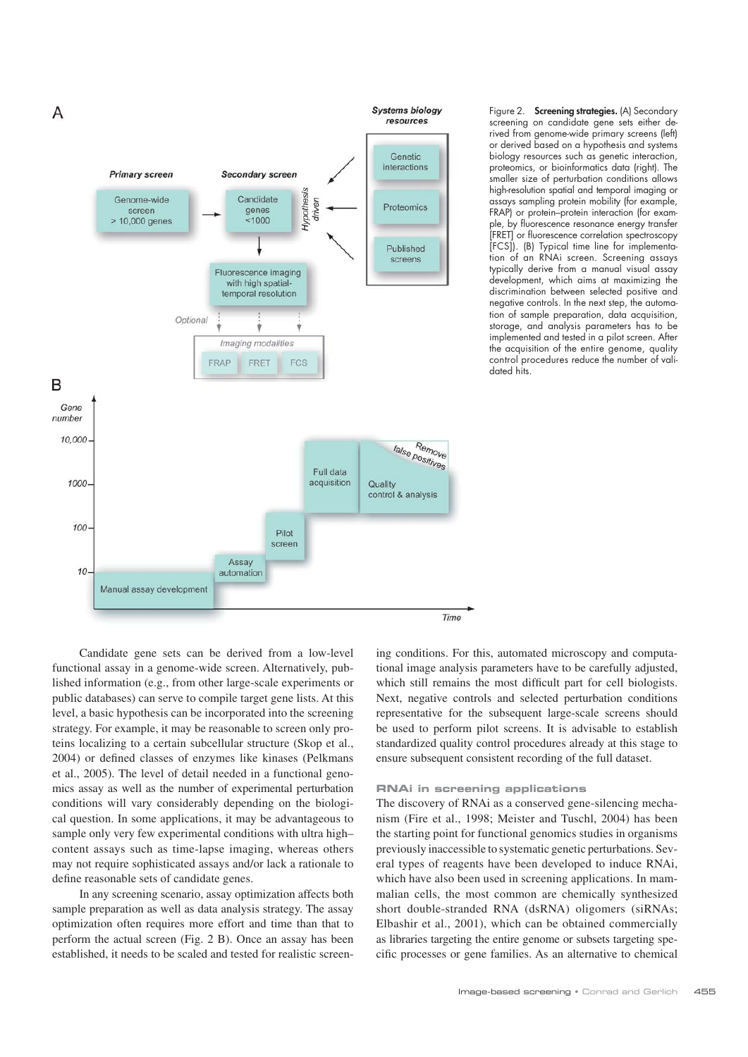

Figure 2. **Screening strategies.** (A) Secondary screening on candidate gene sets either derived from genome-wide primary screens (left) or derived based on a hypothesis and systems biology resources such as genetic interaction, proteomics, or bioinformatics data (right). The smaller size of perturbation conditions allows high-resolution spatial and temporal imaging or assays sampling protein mobility (for example, FRAP) or protein–protein interaction (for example, by fluorescence resonance energy transfer [FRET] or fluorescence correlation spectroscopy [FCS]). (B) Typical time line for implementation of an RNAi screen. Screening assays typically derive from a manual visual assay development, which aims at maximizing the discrimination between selected positive and negative controls. In the next step, the automation of sample preparation, data acquisition, storage, and analysis parameters has to be implemented and tested in a pilot screen. After the acquisition of the entire genome, quality control procedures reduce the number of validated hits.

Candidate gene sets can be derived from a low-level functional assay in a genome-wide screen. Alternatively, published information (e.g., from other large-scale experiments or public databases) can serve to compile target gene lists. At this level, a basic hypothesis can be incorporated into the screening strategy. For example, it may be reasonable to screen only proteins localizing to a certain subcellular structure (Skop et al., 2004) or defined classes of enzymes like kinases (Pelkmans et al., 2005). The level of detail needed in a functional genomics assay as well as the number of experimental perturbation conditions will vary considerably depending on the biological question. In some applications, it may be advantageous to sample only very few experimental conditions with ultra high– content assays such as time-lapse imaging, whereas others may not require sophisticated assays and/or lack a rationale to define reasonable sets of candidate genes.

In any screening scenario, assay optimization affects both sample preparation as well as data analysis strategy. The assay optimization often requires more effort and time than that to perform the actual screen (Fig. 2 B). Once an assay has been established, it needs to be scaled and tested for realistic screening conditions. For this, automated microscopy and computational image analysis parameters have to be carefully adjusted, which still remains the most difficult part for cell biologists. Next, negative controls and selected perturbation conditions representative for the subsequent large-scale screens should be used to perform pilot screens. It is advisable to establish standardized quality control procedures already at this stage to ensure subsequent consistent recording of the full dataset.

#### **RNAi in screening applications**

The discovery of RNAi as a conserved gene-silencing mechanism (Fire et al., 1998; Meister and Tuschl, 2004) has been the starting point for functional genomics studies in organisms previously inaccessible to systematic genetic perturbations. Several types of reagents have been developed to induce RNAi, which have also been used in screening applications. In mammalian cells, the most common are chemically synthesized short double-stranded RNA (dsRNA) oligomers (siRNAs; Elbashir et al., 2001), which can be obtained commercially as libraries targeting the entire genome or subsets targeting specific processes or gene families. As an alternative to chemical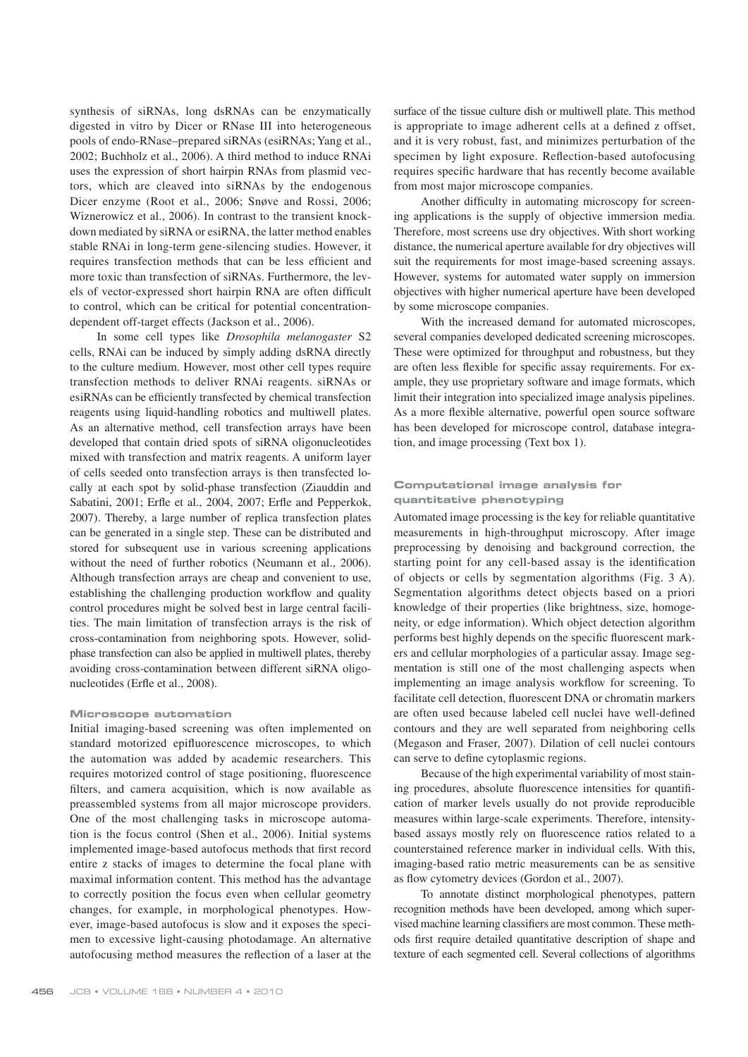synthesis of siRNAs, long dsRNAs can be enzymatically digested in vitro by Dicer or RNase III into heterogeneous pools of endo-RNase–prepared siRNAs (esiRNAs; Yang et al., 2002; Buchholz et al., 2006). A third method to induce RNAi uses the expression of short hairpin RNAs from plasmid vectors, which are cleaved into siRNAs by the endogenous Dicer enzyme (Root et al., 2006; Snøve and Rossi, 2006; Wiznerowicz et al., 2006). In contrast to the transient knockdown mediated by siRNA or esiRNA, the latter method enables stable RNAi in long-term gene-silencing studies. However, it requires transfection methods that can be less efficient and more toxic than transfection of siRNAs. Furthermore, the levels of vector-expressed short hairpin RNA are often difficult to control, which can be critical for potential concentrationdependent off-target effects (Jackson et al., 2006).

In some cell types like *Drosophila melanogaster* S2 cells, RNAi can be induced by simply adding dsRNA directly to the culture medium. However, most other cell types require transfection methods to deliver RNAi reagents. siRNAs or esiRNAs can be efficiently transfected by chemical transfection reagents using liquid-handling robotics and multiwell plates. As an alternative method, cell transfection arrays have been developed that contain dried spots of siRNA oligonucleotides mixed with transfection and matrix reagents. A uniform layer of cells seeded onto transfection arrays is then transfected locally at each spot by solid-phase transfection (Ziauddin and Sabatini, 2001; Erfle et al., 2004, 2007; Erfle and Pepperkok, 2007). Thereby, a large number of replica transfection plates can be generated in a single step. These can be distributed and stored for subsequent use in various screening applications without the need of further robotics (Neumann et al., 2006). Although transfection arrays are cheap and convenient to use, establishing the challenging production workflow and quality control procedures might be solved best in large central facilities. The main limitation of transfection arrays is the risk of cross-contamination from neighboring spots. However, solidphase transfection can also be applied in multiwell plates, thereby avoiding cross-contamination between different siRNA oligonucleotides (Erfle et al., 2008).

#### **Microscope automation**

Initial imaging-based screening was often implemented on standard motorized epifluorescence microscopes, to which the automation was added by academic researchers. This requires motorized control of stage positioning, fluorescence filters, and camera acquisition, which is now available as preassembled systems from all major microscope providers. One of the most challenging tasks in microscope automation is the focus control (Shen et al., 2006). Initial systems implemented image-based autofocus methods that first record entire z stacks of images to determine the focal plane with maximal information content. This method has the advantage to correctly position the focus even when cellular geometry changes, for example, in morphological phenotypes. However, image-based autofocus is slow and it exposes the specimen to excessive light-causing photodamage. An alternative autofocusing method measures the reflection of a laser at the surface of the tissue culture dish or multiwell plate. This method is appropriate to image adherent cells at a defined z offset, and it is very robust, fast, and minimizes perturbation of the specimen by light exposure. Reflection-based autofocusing requires specific hardware that has recently become available from most major microscope companies.

Another difficulty in automating microscopy for screening applications is the supply of objective immersion media. Therefore, most screens use dry objectives. With short working distance, the numerical aperture available for dry objectives will suit the requirements for most image-based screening assays. However, systems for automated water supply on immersion objectives with higher numerical aperture have been developed by some microscope companies.

With the increased demand for automated microscopes, several companies developed dedicated screening microscopes. These were optimized for throughput and robustness, but they are often less flexible for specific assay requirements. For example, they use proprietary software and image formats, which limit their integration into specialized image analysis pipelines. As a more flexible alternative, powerful open source software has been developed for microscope control, database integration, and image processing (Text box 1).

## **Computational image analysis for quantitative phenotyping**

Automated image processing is the key for reliable quantitative measurements in high-throughput microscopy. After image preprocessing by denoising and background correction, the starting point for any cell-based assay is the identification of objects or cells by segmentation algorithms (Fig. 3 A). Segmentation algorithms detect objects based on a priori knowledge of their properties (like brightness, size, homogeneity, or edge information). Which object detection algorithm performs best highly depends on the specific fluorescent markers and cellular morphologies of a particular assay. Image segmentation is still one of the most challenging aspects when implementing an image analysis workflow for screening. To facilitate cell detection, fluorescent DNA or chromatin markers are often used because labeled cell nuclei have well-defined contours and they are well separated from neighboring cells (Megason and Fraser, 2007). Dilation of cell nuclei contours can serve to define cytoplasmic regions.

Because of the high experimental variability of most staining procedures, absolute fluorescence intensities for quantification of marker levels usually do not provide reproducible measures within large-scale experiments. Therefore, intensitybased assays mostly rely on fluorescence ratios related to a counterstained reference marker in individual cells. With this, imaging-based ratio metric measurements can be as sensitive as flow cytometry devices (Gordon et al., 2007).

To annotate distinct morphological phenotypes, pattern recognition methods have been developed, among which supervised machine learning classifiers are most common. These methods first require detailed quantitative description of shape and texture of each segmented cell. Several collections of algorithms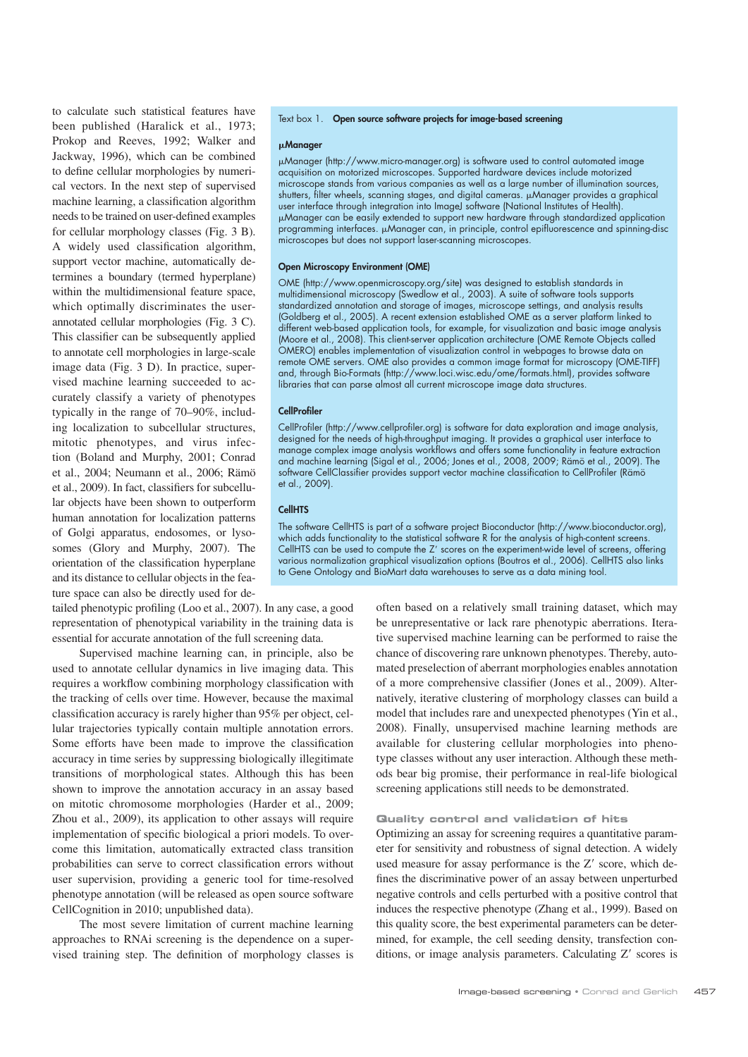to calculate such statistical features have been published (Haralick et al., 1973; Prokop and Reeves, 1992; Walker and Jackway, 1996), which can be combined to define cellular morphologies by numerical vectors. In the next step of supervised machine learning, a classification algorithm needs to be trained on user-defined examples for cellular morphology classes (Fig. 3 B). A widely used classification algorithm, support vector machine, automatically determines a boundary (termed hyperplane) within the multidimensional feature space, which optimally discriminates the user annotated cellular morphologies (Fig. 3 C). This classifier can be subsequently applied to annotate cell morphologies in large-scale image data (Fig. 3 D). In practice, supervised machine learning succeeded to accurately classify a variety of phenotypes typically in the range of 70–90%, including localization to subcellular structures, mitotic phenotypes, and virus infection (Boland and Murphy, 2001; Conrad et al., 2004; Neumann et al., 2006; Rämö et al., 2009). In fact, classifiers for subcellular objects have been shown to outperform human annotation for localization patterns of Golgi apparatus, endosomes, or lysosomes (Glory and Murphy, 2007). The orientation of the classification hyperplane and its distance to cellular objects in the feature space can also be directly used for de-

tailed phenotypic profiling (Loo et al., 2007). In any case, a good representation of phenotypical variability in the training data is essential for accurate annotation of the full screening data.

Supervised machine learning can, in principle, also be used to annotate cellular dynamics in live imaging data. This requires a workflow combining morphology classification with the tracking of cells over time. However, because the maximal classification accuracy is rarely higher than 95% per object, cellular trajectories typically contain multiple annotation errors. Some efforts have been made to improve the classification accuracy in time series by suppressing biologically illegitimate transitions of morphological states. Although this has been shown to improve the annotation accuracy in an assay based on mitotic chromosome morphologies (Harder et al., 2009; Zhou et al., 2009), its application to other assays will require implementation of specific biological a priori models. To overcome this limitation, automatically extracted class transition probabilities can serve to correct classification errors without user supervision, providing a generic tool for time-resolved phenotype annotation (will be released as open source software CellCognition in 2010; unpublished data).

The most severe limitation of current machine learning approaches to RNAi screening is the dependence on a supervised training step. The definition of morphology classes is

#### Text box 1. **Open source software projects for image-based screening**

#### M**Manager**

MManager (http://www.micro-manager.org) is software used to control automated image acquisition on motorized microscopes. Supported hardware devices include motorized microscope stands from various companies as well as a large number of illumination sources, shutters, filter wheels, scanning stages, and digital cameras. µManager provides a graphical user interface through integration into ImageJ software (National Institutes of Health). µManager can be easily extended to support new hardware through standardized application programming interfaces. MManager can, in principle, control epifluorescence and spinning-disc microscopes but does not support laser-scanning microscopes.

#### **Open Microscopy Environment (OME)**

OME (http://www.openmicroscopy.org/site) was designed to establish standards in multidimensional microscopy (Swedlow et al., 2003). A suite of software tools supports standardized annotation and storage of images, microscope settings, and analysis results (Goldberg et al., 2005). A recent extension established OME as a server platform linked to different web-based application tools, for example, for visualization and basic image analysis (Moore et al., 2008). This client-server application architecture (OME Remote Objects called OMERO) enables implementation of visualization control in webpages to browse data on remote OME servers. OME also provides a common image format for microscopy (OME-TIFF) and, through Bio-Formats (http://www.loci.wisc.edu/ome/formats.html), provides software libraries that can parse almost all current microscope image data structures.

#### **CellProfiler**

CellProfiler (http://www.cellprofiler.org) is software for data exploration and image analysis, designed for the needs of high-throughput imaging. It provides a graphical user interface to manage complex image analysis workflows and offers some functionality in feature extraction and machine learning (Sigal et al., 2006; Jones et al., 2008, 2009; Rämö et al., 2009). The software CellClassifier provides support vector machine classification to CellProfiler (Rämö et al., 2009).

#### **CellHTS**

The software CellHTS is part of a software project Bioconductor (http://www.bioconductor.org), which adds functionality to the statistical software R for the analysis of high-content screens. CellHTS can be used to compute the Z' scores on the experiment-wide level of screens, offering various normalization graphical visualization options (Boutros et al., 2006). CellHTS also links to Gene Ontology and BioMart data warehouses to serve as a data mining tool.

> often based on a relatively small training dataset, which may be unrepresentative or lack rare phenotypic aberrations. Iterative supervised machine learning can be performed to raise the chance of discovering rare unknown phenotypes. Thereby, automated preselection of aberrant morphologies enables annotation of a more comprehensive classifier (Jones et al., 2009). Alternatively, iterative clustering of morphology classes can build a model that includes rare and unexpected phenotypes (Yin et al., 2008). Finally, unsupervised machine learning methods are available for clustering cellular morphologies into phenotype classes without any user interaction. Although these methods bear big promise, their performance in real-life biological screening applications still needs to be demonstrated.

#### **Quality control and validation of hits**

Optimizing an assay for screening requires a quantitative parameter for sensitivity and robustness of signal detection. A widely used measure for assay performance is the  $Z'$  score, which defines the discriminative power of an assay between unperturbed negative controls and cells perturbed with a positive control that induces the respective phenotype (Zhang et al., 1999). Based on this quality score, the best experimental parameters can be determined, for example, the cell seeding density, transfection conditions, or image analysis parameters. Calculating  $Z'$  scores is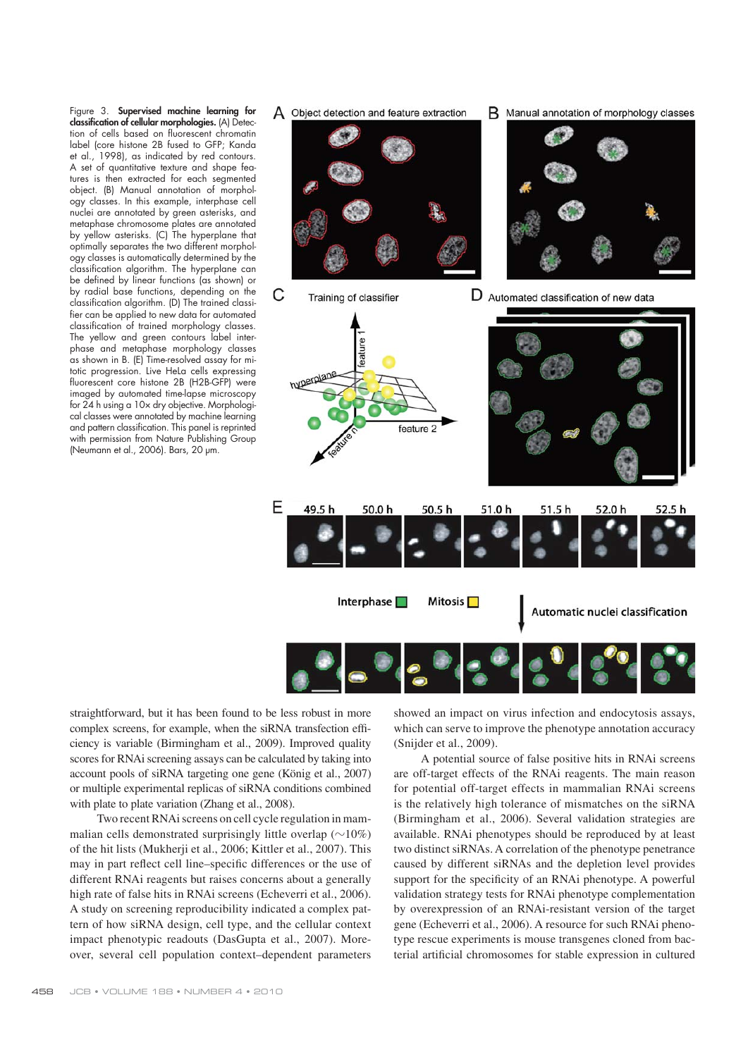Figure 3. **Supervised machine learning for classification of cellular morphologies.** (A) Detection of cells based on fluorescent chromatin label (core histone 2B fused to GFP; Kanda et al., 1998), as indicated by red contours. A set of quantitative texture and shape features is then extracted for each segmented object. (B) Manual annotation of morphology classes. In this example, interphase cell nuclei are annotated by green asterisks, and metaphase chromosome plates are annotated by yellow asterisks. (C) The hyperplane that optimally separates the two different morphology classes is automatically determined by the classification algorithm. The hyperplane can be defined by linear functions (as shown) or by radial base functions, depending on the classification algorithm. (D) The trained classifier can be applied to new data for automated classification of trained morphology classes. The yellow and green contours label interphase and metaphase morphology classes as shown in B. (E) Time-resolved assay for mitotic progression. Live HeLa cells expressing fluorescent core histone 2B (H2B-GFP) were imaged by automated time-lapse microscopy for 24 h using a 10× dry objective. Morphological classes were annotated by machine learning and pattern classification. This panel is reprinted with permission from Nature Publishing Group (Neumann et al., 2006). Bars, 20 μm.



straightforward, but it has been found to be less robust in more complex screens, for example, when the siRNA transfection efficiency is variable (Birmingham et al., 2009). Improved quality scores for RNAi screening assays can be calculated by taking into account pools of siRNA targeting one gene (König et al., 2007) or multiple experimental replicas of siRNA conditions combined with plate to plate variation (Zhang et al., 2008).

Two recent RNAi screens on cell cycle regulation in mammalian cells demonstrated surprisingly little overlap  $(\sim 10\%)$ of the hit lists (Mukherji et al., 2006; Kittler et al., 2007). This may in part reflect cell line–specific differences or the use of different RNAi reagents but raises concerns about a generally high rate of false hits in RNAi screens (Echeverri et al., 2006). A study on screening reproducibility indicated a complex pattern of how siRNA design, cell type, and the cellular context impact phenotypic readouts (DasGupta et al., 2007). Moreover, several cell population context–dependent parameters showed an impact on virus infection and endocytosis assays, which can serve to improve the phenotype annotation accuracy (Snijder et al., 2009).

A potential source of false positive hits in RNAi screens are off-target effects of the RNAi reagents. The main reason for potential off-target effects in mammalian RNAi screens is the relatively high tolerance of mismatches on the siRNA (Birmingham et al., 2006). Several validation strategies are available. RNAi phenotypes should be reproduced by at least two distinct siRNAs. A correlation of the phenotype penetrance caused by different siRNAs and the depletion level provides support for the specificity of an RNAi phenotype. A powerful validation strategy tests for RNAi phenotype complementation by overexpression of an RNAi-resistant version of the target gene (Echeverri et al., 2006). A resource for such RNAi phenotype rescue experiments is mouse transgenes cloned from bacterial artificial chromosomes for stable expression in cultured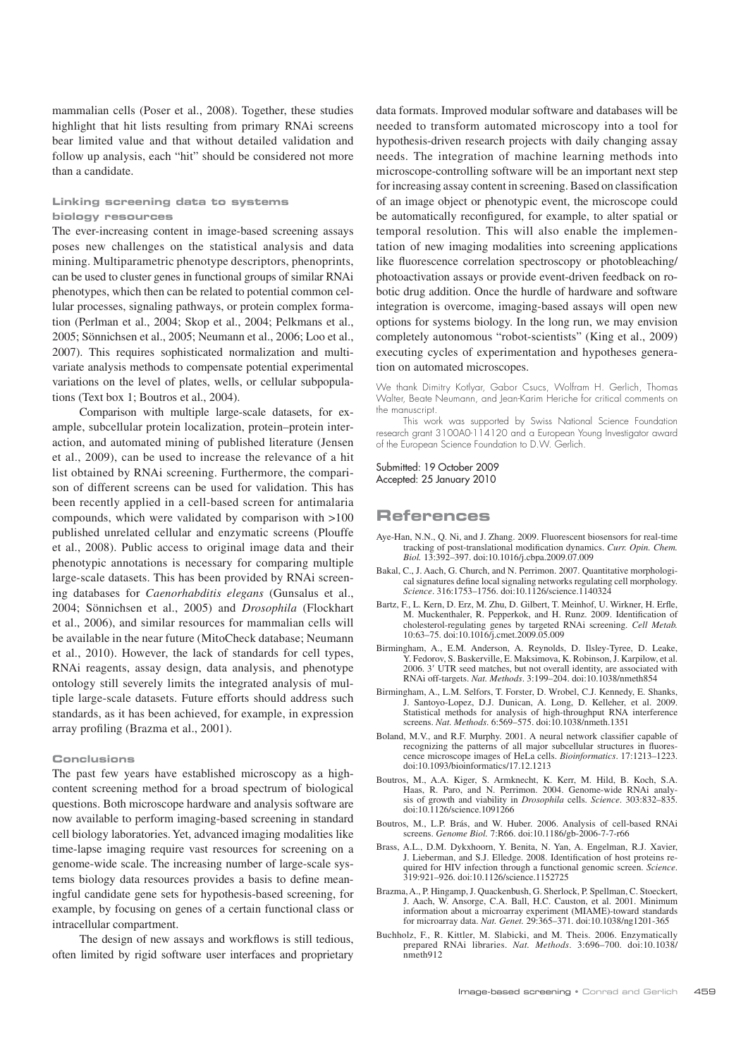mammalian cells (Poser et al., 2008). Together, these studies highlight that hit lists resulting from primary RNAi screens bear limited value and that without detailed validation and follow up analysis, each "hit" should be considered not more than a candidate.

## **Linking screening data to systems biology resources**

The ever-increasing content in image-based screening assays poses new challenges on the statistical analysis and data mining. Multiparametric phenotype descriptors, phenoprints, can be used to cluster genes in functional groups of similar RNAi phenotypes, which then can be related to potential common cellular processes, signaling pathways, or protein complex formation (Perlman et al., 2004; Skop et al., 2004; Pelkmans et al., 2005; Sönnichsen et al., 2005; Neumann et al., 2006; Loo et al., 2007). This requires sophisticated normalization and multivariate analysis methods to compensate potential experimental variations on the level of plates, wells, or cellular subpopulations (Text box 1; Boutros et al., 2004).

Comparison with multiple large-scale datasets, for example, subcellular protein localization, protein–protein interaction, and automated mining of published literature (Jensen et al., 2009), can be used to increase the relevance of a hit list obtained by RNAi screening. Furthermore, the comparison of different screens can be used for validation. This has been recently applied in a cell-based screen for antimalaria compounds, which were validated by comparison with >100 published unrelated cellular and enzymatic screens (Plouffe et al., 2008). Public access to original image data and their phenotypic annotations is necessary for comparing multiple large-scale datasets. This has been provided by RNAi screening databases for *Caenorhabditis elegans* (Gunsalus et al., 2004; Sönnichsen et al., 2005) and *Drosophila* (Flockhart et al., 2006), and similar resources for mammalian cells will be available in the near future (MitoCheck database; Neumann et al., 2010). However, the lack of standards for cell types, RNAi reagents, assay design, data analysis, and phenotype ontology still severely limits the integrated analysis of multiple large-scale datasets. Future efforts should address such standards, as it has been achieved, for example, in expression array profiling (Brazma et al., 2001).

#### **Conclusions**

The past few years have established microscopy as a highcontent screening method for a broad spectrum of biological questions. Both microscope hardware and analysis software are now available to perform imaging-based screening in standard cell biology laboratories. Yet, advanced imaging modalities like time-lapse imaging require vast resources for screening on a genome-wide scale. The increasing number of large-scale systems biology data resources provides a basis to define meaningful candidate gene sets for hypothesis-based screening, for example, by focusing on genes of a certain functional class or intracellular compartment.

The design of new assays and workflows is still tedious, often limited by rigid software user interfaces and proprietary data formats. Improved modular software and databases will be needed to transform automated microscopy into a tool for hypothesis-driven research projects with daily changing assay needs. The integration of machine learning methods into microscope-controlling software will be an important next step for increasing assay content in screening. Based on classification of an image object or phenotypic event, the microscope could be automatically reconfigured, for example, to alter spatial or temporal resolution. This will also enable the implementation of new imaging modalities into screening applications like fluorescence correlation spectroscopy or photobleaching/ photoactivation assays or provide event-driven feedback on robotic drug addition. Once the hurdle of hardware and software integration is overcome, imaging-based assays will open new options for systems biology. In the long run, we may envision completely autonomous "robot-scientists" (King et al., 2009) executing cycles of experimentation and hypotheses generation on automated microscopes.

We thank Dimitry Kotlyar, Gabor Csucs, Wolfram H. Gerlich, Thomas Walter, Beate Neumann, and Jean-Karim Heriche for critical comments on the manuscript.

This work was supported by Swiss National Science Foundation research grant 3100A0-114120 and a European Young Investigator award of the European Science Foundation to D.W. Gerlich.

#### Submitted: 19 October 2009 Accepted: 25 January 2010

# **References**

- Aye-Han, N.N., Q. Ni, and J. Zhang. 2009. Fluorescent biosensors for real-time tracking of post-translational modification dynamics. *Curr. Opin. Chem. Biol.* 13:392–397. doi:10.1016/j.cbpa.2009.07.009
- Bakal, C., J. Aach, G. Church, and N. Perrimon. 2007. Quantitative morphological signatures define local signaling networks regulating cell morphology. *Science*. 316:1753–1756. doi:10.1126/science.1140324
- Bartz, F., L. Kern, D. Erz, M. Zhu, D. Gilbert, T. Meinhof, U. Wirkner, H. Erfle, M. Muckenthaler, R. Pepperkok, and H. Runz. 2009. Identification of cholesterol-regulating genes by targeted RNAi screening. *Cell Metab.* 10:63–75. doi:10.1016/j.cmet.2009.05.009
- Birmingham, A., E.M. Anderson, A. Reynolds, D. Ilsley-Tyree, D. Leake, Y. Fedorov, S. Baskerville, E. Maksimova, K. Robinson, J. Karpilow, et al. 2006. 3' UTR seed matches, but not overall identity, are associated with RNAi off-targets. *Nat. Methods*. 3:199–204. doi:10.1038/nmeth854
- Birmingham, A., L.M. Selfors, T. Forster, D. Wrobel, C.J. Kennedy, E. Shanks, J. Santoyo-Lopez, D.J. Dunican, A. Long, D. Kelleher, et al. 2009. Statistical methods for analysis of high-throughput RNA interference screens. *Nat. Methods*. 6:569–575. doi:10.1038/nmeth.1351
- Boland, M.V., and R.F. Murphy. 2001. A neural network classifier capable of recognizing the patterns of all major subcellular structures in fluorescence microscope images of HeLa cells. *Bioinformatics*. 17:1213–1223. doi:10.1093/bioinformatics/17.12.1213
- Boutros, M., A.A. Kiger, S. Armknecht, K. Kerr, M. Hild, B. Koch, S.A. Haas, R. Paro, and N. Perrimon. 2004. Genome-wide RNAi analysis of growth and viability in *Drosophila* cells. *Science*. 303:832–835. doi:10.1126/science.1091266
- Boutros, M., L.P. Brás, and W. Huber. 2006. Analysis of cell-based RNAi screens. *Genome Biol.* 7:R66. doi:10.1186/gb-2006-7-7-r66
- Brass, A.L., D.M. Dykxhoorn, Y. Benita, N. Yan, A. Engelman, R.J. Xavier, J. Lieberman, and S.J. Elledge. 2008. Identification of host proteins required for HIV infection through a functional genomic screen. *Science*. 319:921–926. doi:10.1126/science.1152725
- Brazma, A., P. Hingamp, J. Quackenbush, G. Sherlock, P. Spellman, C. Stoeckert, J. Aach, W. Ansorge, C.A. Ball, H.C. Causton, et al. 2001. Minimum information about a microarray experiment (MIAME)-toward standards for microarray data. *Nat. Genet.* 29:365–371. doi:10.1038/ng1201-365
- Buchholz, F., R. Kittler, M. Slabicki, and M. Theis. 2006. Enzymatically prepared RNAi libraries. *Nat. Methods*. 3:696–700. doi:10.1038/ nmeth912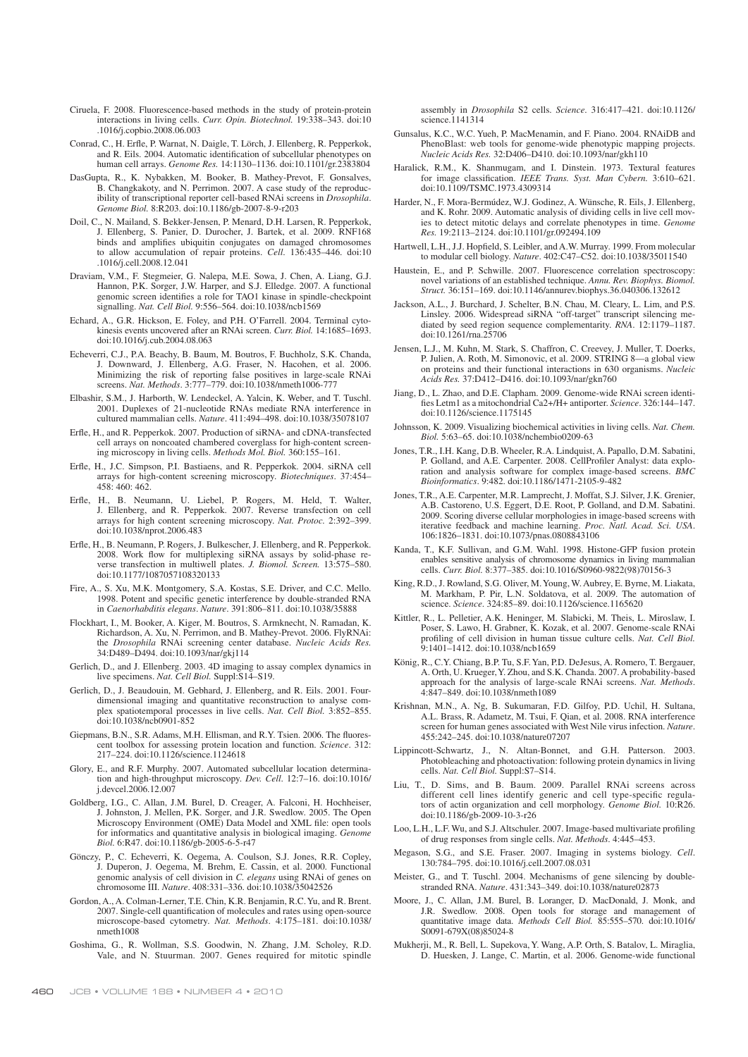- Ciruela, F. 2008. Fluorescence-based methods in the study of protein-protein interactions in living cells. *Curr. Opin. Biotechnol.* 19:338–343. doi:10 .1016/j.copbio.2008.06.003
- Conrad, C., H. Erfle, P. Warnat, N. Daigle, T. Lörch, J. Ellenberg, R. Pepperkok, and R. Eils. 2004. Automatic identification of subcellular phenotypes on human cell arrays. *Genome Res.* 14:1130–1136. doi:10.1101/gr.2383804
- DasGupta, R., K. Nybakken, M. Booker, B. Mathey-Prevot, F. Gonsalves, B. Changkakoty, and N. Perrimon. 2007. A case study of the reproducibility of transcriptional reporter cell-based RNAi screens in *Drosophila*. *Genome Biol.* 8:R203. doi:10.1186/gb-2007-8-9-r203
- Doil, C., N. Mailand, S. Bekker-Jensen, P. Menard, D.H. Larsen, R. Pepperkok, . Ellenberg, S. Panier, D. Durocher, J. Bartek, et al. 2009. RNF168 binds and amplifies ubiquitin conjugates on damaged chromosomes to allow accumulation of repair proteins. *Cell*. 136:435–446. doi:10 .1016/j.cell.2008.12.041
- Draviam, V.M., F. Stegmeier, G. Nalepa, M.E. Sowa, J. Chen, A. Liang, G.J. Hannon, P.K. Sorger, J.W. Harper, and S.J. Elledge. 2007. A functional genomic screen identifies a role for TAO1 kinase in spindle-checkpoint signalling. *Nat. Cell Biol.* 9:556–564. doi:10.1038/ncb1569
- Echard, A., G.R. Hickson, E. Foley, and P.H. O'Farrell. 2004. Terminal cytokinesis events uncovered after an RNAi screen. *Curr. Biol.* 14:1685–1693. doi:10.1016/j.cub.2004.08.063
- Echeverri, C.J., P.A. Beachy, B. Baum, M. Boutros, F. Buchholz, S.K. Chanda, J. Downward, J. Ellenberg, A.G. Fraser, N. Hacohen, et al. 2006. Minimizing the risk of reporting false positives in large-scale RNAi screens. *Nat. Methods*. 3:777–779. doi:10.1038/nmeth1006-777
- Elbashir, S.M., J. Harborth, W. Lendeckel, A. Yalcin, K. Weber, and T. Tuschl. 2001. Duplexes of 21-nucleotide RNAs mediate RNA interference in cultured mammalian cells. *Nature*. 411:494–498. doi:10.1038/35078107
- Erfle, H., and R. Pepperkok. 2007. Production of siRNA- and cDNA-transfected cell arrays on noncoated chambered coverglass for high-content screening microscopy in living cells. *Methods Mol. Biol.* 360:155–161.
- Erfle, H., J.C. Simpson, P.I. Bastiaens, and R. Pepperkok. 2004. siRNA cell arrays for high-content screening microscopy. *Biotechniques*. 37:454– 458: 460: 462.
- Erfle, H., B. Neumann, U. Liebel, P. Rogers, M. Held, T. Walter, J. Ellenberg, and R. Pepperkok. 2007. Reverse transfection on cell arrays for high content screening microscopy. *Nat. Protoc.* 2:392–399. doi:10.1038/nprot.2006.483
- Erfle, H., B. Neumann, P. Rogers, J. Bulkescher, J. Ellenberg, and R. Pepperkok. 2008. Work flow for multiplexing siRNA assays by solid-phase reverse transfection in multiwell plates. *J. Biomol. Screen.* 13:575–580. doi:10.1177/1087057108320133
- Fire, A., S. Xu, M.K. Montgomery, S.A. Kostas, S.E. Driver, and C.C. Mello. 1998. Potent and specific genetic interference by double-stranded RNA in *Caenorhabditis elegans*. *Nature*. 391:806–811. doi:10.1038/35888
- Flockhart, I., M. Booker, A. Kiger, M. Boutros, S. Armknecht, N. Ramadan, K. Richardson, A. Xu, N. Perrimon, and B. Mathey-Prevot. 2006. FlyRNAi: the *Drosophila* RNAi screening center database. *Nucleic Acids Res.* 34:D489–D494. doi:10.1093/nar/gkj114
- Gerlich, D., and J. Ellenberg. 2003. 4D imaging to assay complex dynamics in live specimens. *Nat. Cell Biol.* Suppl:S14–S19.
- Gerlich, D., J. Beaudouin, M. Gebhard, J. Ellenberg, and R. Eils. 2001. Fourdimensional imaging and quantitative reconstruction to analyse complex spatiotemporal processes in live cells. *Nat. Cell Biol.* 3:852–855. doi:10.1038/ncb0901-852
- Giepmans, B.N., S.R. Adams, M.H. Ellisman, and R.Y. Tsien. 2006. The fluorescent toolbox for assessing protein location and function. *Science*. 312: 217–224. doi:10.1126/science.1124618
- Glory, E., and R.F. Murphy. 2007. Automated subcellular location determination and high-throughput microscopy. *Dev. Cell*. 12:7–16. doi:10.1016/ j.devcel.2006.12.007
- Goldberg, I.G., C. Allan, J.M. Burel, D. Creager, A. Falconi, H. Hochheiser, J. Johnston, J. Mellen, P.K. Sorger, and J.R. Swedlow. 2005. The Open Microscopy Environment (OME) Data Model and XML file: open tools for informatics and quantitative analysis in biological imaging. *Genome Biol.* 6:R47. doi:10.1186/gb-2005-6-5-r47
- Gönczy, P., C. Echeverri, K. Oegema, A. Coulson, S.J. Jones, R.R. Copley, J. Duperon, J. Oegema, M. Brehm, E. Cassin, et al. 2000. Functional genomic analysis of cell division in *C. elegans* using RNAi of genes on chromosome III. *Nature*. 408:331–336. doi:10.1038/35042526
- Gordon, A., A. Colman-Lerner, T.E. Chin, K.R. Benjamin, R.C. Yu, and R. Brent. 2007. Single-cell quantification of molecules and rates using open-source microscope-based cytometry. *Nat. Methods*. 4:175–181. doi:10.1038/ nmeth1008
- Goshima, G., R. Wollman, S.S. Goodwin, N. Zhang, J.M. Scholey, R.D. Vale, and N. Stuurman. 2007. Genes required for mitotic spindle

460 JCB • VOLUME 188 • NUMBER 4 • 2010

assembly in *Drosophila* S2 cells. *Science*. 316:417–421. doi:10.1126/ science.1141314

- Gunsalus, K.C., W.C. Yueh, P. MacMenamin, and F. Piano. 2004. RNAiDB and PhenoBlast: web tools for genome-wide phenotypic mapping projects. *Nucleic Acids Res.* 32:D406–D410. doi:10.1093/nar/gkh110
- Haralick, R.M., K. Shanmugam, and I. Dinstein. 1973. Textural features for image classification. *IEEE Trans. Syst. Man Cybern.* 3:610–621. doi:10.1109/TSMC.1973.4309314
- Harder, N., F. Mora-Bermúdez, W.J. Godinez, A. Wünsche, R. Eils, J. Ellenberg, and K. Rohr. 2009. Automatic analysis of dividing cells in live cell movies to detect mitotic delays and correlate phenotypes in time. *Genome Res.* 19:2113–2124. doi:10.1101/gr.092494.109
- Hartwell, L.H., J.J. Hopfield, S. Leibler, and A.W. Murray. 1999. From molecular to modular cell biology. *Nature*. 402:C47–C52. doi:10.1038/35011540
- Haustein, E., and P. Schwille. 2007. Fluorescence correlation spectroscopy: novel variations of an established technique. *Annu. Rev. Biophys. Biomol. Struct.* 36:151–169. doi:10.1146/annurev.biophys.36.040306.132612
- Jackson, A.L., J. Burchard, J. Schelter, B.N. Chau, M. Cleary, L. Lim, and P.S. Linsley. 2006. Widespread siRNA "off-target" transcript silencing mediated by seed region sequence complementarity. *RNA*. 12:1179–1187. doi:10.1261/rna.25706
- Jensen, L.J., M. Kuhn, M. Stark, S. Chaffron, C. Creevey, J. Muller, T. Doerks, P. Julien, A. Roth, M. Simonovic, et al. 2009. STRING 8—a global view on proteins and their functional interactions in 630 organisms. *Nucleic Acids Res.* 37:D412–D416. doi:10.1093/nar/gkn760
- Jiang, D., L. Zhao, and D.E. Clapham. 2009. Genome-wide RNAi screen identifies Letm1 as a mitochondrial Ca2+/H+ antiporter. *Science*. 326:144–147. doi:10.1126/science.1175145
- Johnsson, K. 2009. Visualizing biochemical activities in living cells. *Nat. Chem. Biol.* 5:63–65. doi:10.1038/nchembio0209-63
- Jones, T.R., I.H. Kang, D.B. Wheeler, R.A. Lindquist, A. Papallo, D.M. Sabatini, P. Golland, and A.E. Carpenter. 2008. CellProfiler Analyst: data exploration and analysis software for complex image-based screens. *BMC Bioinformatics*. 9:482. doi:10.1186/1471-2105-9-482
- Jones, T.R., A.E. Carpenter, M.R. Lamprecht, J. Moffat, S.J. Silver, J.K. Grenier, A.B. Castoreno, U.S. Eggert, D.E. Root, P. Golland, and D.M. Sabatini. 2009. Scoring diverse cellular morphologies in image-based screens with iterative feedback and machine learning. *Proc. Natl. Acad. Sci. USA*. 106:1826–1831. doi:10.1073/pnas.0808843106
- Kanda, T., K.F. Sullivan, and G.M. Wahl. 1998. Histone-GFP fusion protein enables sensitive analysis of chromosome dynamics in living mammalian cells. *Curr. Biol.* 8:377–385. doi:10.1016/S0960-9822(98)70156-3
- King, R.D., J. Rowland, S.G. Oliver, M. Young, W. Aubrey, E. Byrne, M. Liakata, M. Markham, P. Pir, L.N. Soldatova, et al. 2009. The automation of science. *Science*. 324:85–89. doi:10.1126/science.1165620
- Kittler, R., L. Pelletier, A.K. Heninger, M. Slabicki, M. Theis, L. Miroslaw, I. Poser, S. Lawo, H. Grabner, K. Kozak, et al. 2007. Genome-scale RNAi profiling of cell division in human tissue culture cells. *Nat. Cell Biol.* 9:1401–1412. doi:10.1038/ncb1659
- König, R., C.Y. Chiang, B.P. Tu, S.F. Yan, P.D. DeJesus, A. Romero, T. Bergauer, A. Orth, U. Krueger, Y. Zhou, and S.K. Chanda. 2007. A probability-based approach for the analysis of large-scale RNAi screens. *Nat. Methods*. 4:847–849. doi:10.1038/nmeth1089
- Krishnan, M.N., A. Ng, B. Sukumaran, F.D. Gilfoy, P.D. Uchil, H. Sultana, A.L. Brass, R. Adametz, M. Tsui, F. Qian, et al. 2008. RNA interference screen for human genes associated with West Nile virus infection. *Nature*. 455:242–245. doi:10.1038/nature07207
- Lippincott-Schwartz, J., N. Altan-Bonnet, and G.H. Patterson. 2003. Photobleaching and photoactivation: following protein dynamics in living cells. *Nat. Cell Biol.* Suppl:S7–S14.
- Liu, T., D. Sims, and B. Baum. 2009. Parallel RNAi screens across different cell lines identify generic and cell type-specific regulators of actin organization and cell morphology. *Genome Biol.* 10:R26. doi:10.1186/gb-2009-10-3-r26
- Loo, L.H., L.F. Wu, and S.J. Altschuler. 2007. Image-based multivariate profiling of drug responses from single cells. *Nat. Methods*. 4:445–453.
- Megason, S.G., and S.E. Fraser. 2007. Imaging in systems biology. *Cell*. 130:784–795. doi:10.1016/j.cell.2007.08.031
- Meister, G., and T. Tuschl. 2004. Mechanisms of gene silencing by doublestranded RNA. *Nature*. 431:343–349. doi:10.1038/nature02873
- Moore, J., C. Allan, J.M. Burel, B. Loranger, D. MacDonald, J. Monk, and J.R. Swedlow. 2008. Open tools for storage and management of quantitative image data. *Methods Cell Biol.* 85:555–570. doi:10.1016/ S0091-679X(08)85024-8
- Mukherji, M., R. Bell, L. Supekova, Y. Wang, A.P. Orth, S. Batalov, L. Miraglia, D. Huesken, J. Lange, C. Martin, et al. 2006. Genome-wide functional